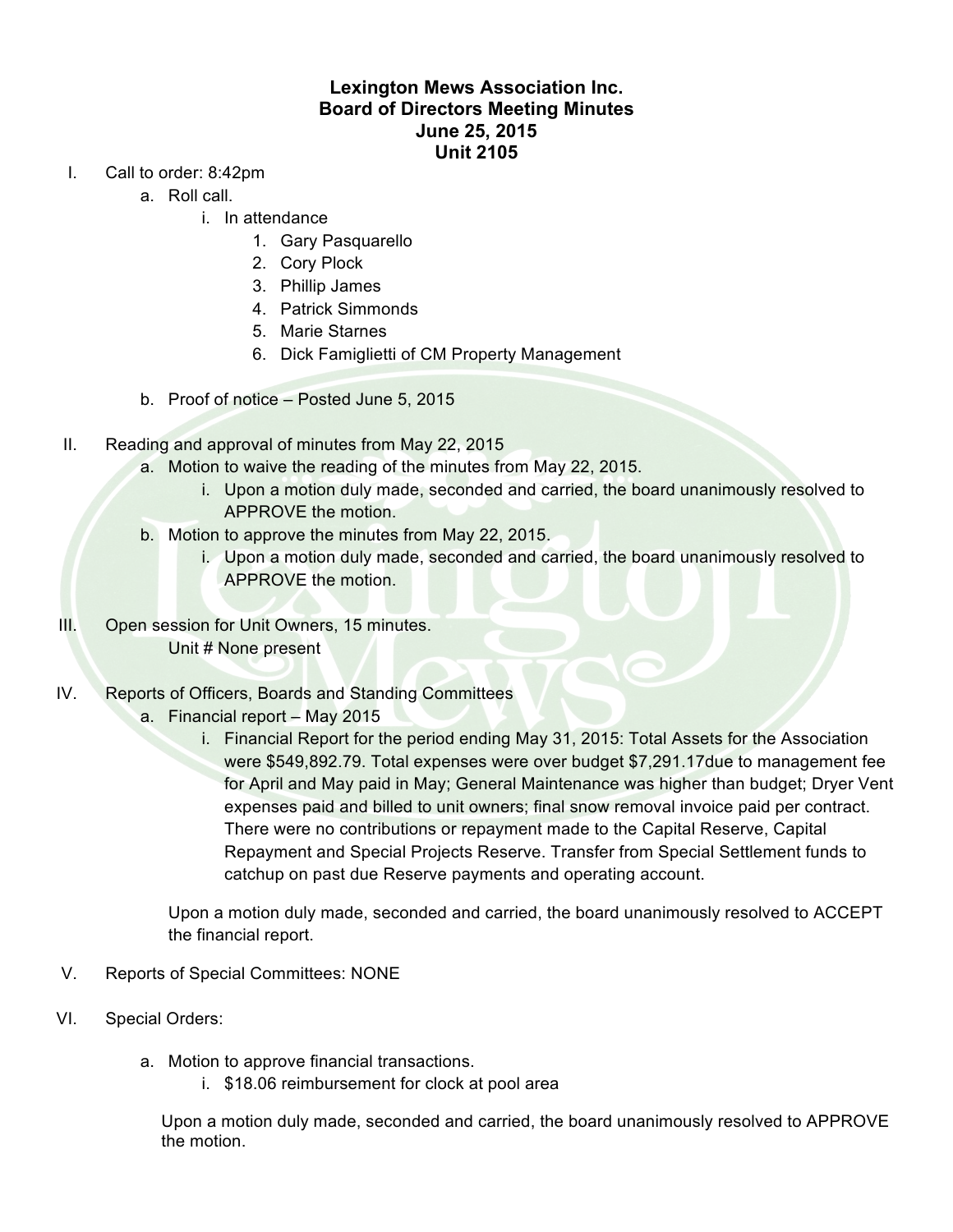## **Lexington Mews Association Inc. Board of Directors Meeting Minutes June 25, 2015 Unit 2105**

- I. Call to order: 8:42pm
	- a. Roll call.
		- i. In attendance
			- 1. Gary Pasquarello
			- 2. Cory Plock
			- 3. Phillip James
			- 4. Patrick Simmonds
			- 5. Marie Starnes
			- 6. Dick Famiglietti of CM Property Management
	- b. Proof of notice Posted June 5, 2015
- II. Reading and approval of minutes from May 22, 2015
	- a. Motion to waive the reading of the minutes from May 22, 2015.
		- i. Upon a motion duly made, seconded and carried, the board unanimously resolved to APPROVE the motion.
	- b. Motion to approve the minutes from May 22, 2015.
		- i. Upon a motion duly made, seconded and carried, the board unanimously resolved to APPROVE the motion.
- III. Open session for Unit Owners, 15 minutes. Unit # None present
- IV. Reports of Officers, Boards and Standing Committees
	- a. Financial report May 2015
		- i. Financial Report for the period ending May 31, 2015: Total Assets for the Association were \$549,892.79. Total expenses were over budget \$7,291.17due to management fee for April and May paid in May; General Maintenance was higher than budget; Dryer Vent expenses paid and billed to unit owners; final snow removal invoice paid per contract. There were no contributions or repayment made to the Capital Reserve, Capital Repayment and Special Projects Reserve. Transfer from Special Settlement funds to catchup on past due Reserve payments and operating account.

Upon a motion duly made, seconded and carried, the board unanimously resolved to ACCEPT the financial report.

- V. Reports of Special Committees: NONE
- VI. Special Orders:
	- a. Motion to approve financial transactions.
		- i. \$18.06 reimbursement for clock at pool area

Upon a motion duly made, seconded and carried, the board unanimously resolved to APPROVE the motion.